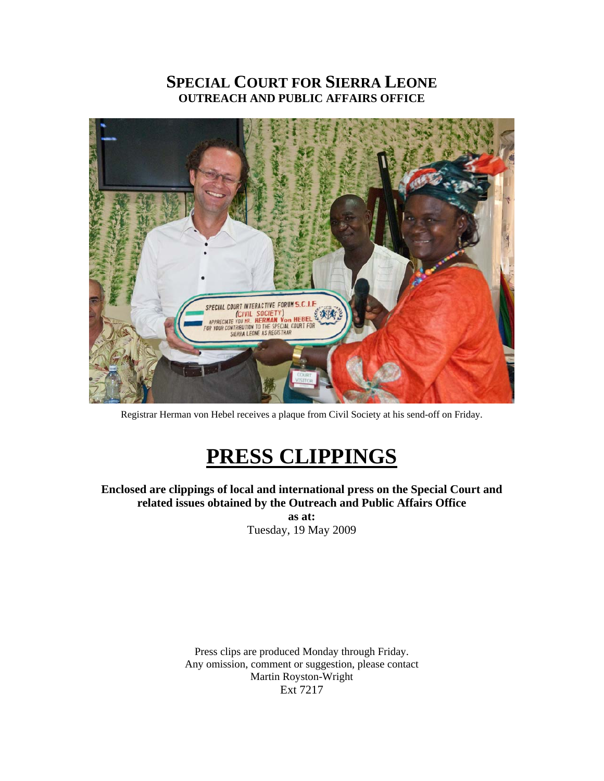# **SPECIAL COURT FOR SIERRA LEONE OUTREACH AND PUBLIC AFFAIRS OFFICE**



Registrar Herman von Hebel receives a plaque from Civil Society at his send-off on Friday.

# **PRESS CLIPPINGS**

**Enclosed are clippings of local and international press on the Special Court and related issues obtained by the Outreach and Public Affairs Office** 

**as at:**  Tuesday, 19 May 2009

Press clips are produced Monday through Friday. Any omission, comment or suggestion, please contact Martin Royston-Wright Ext 7217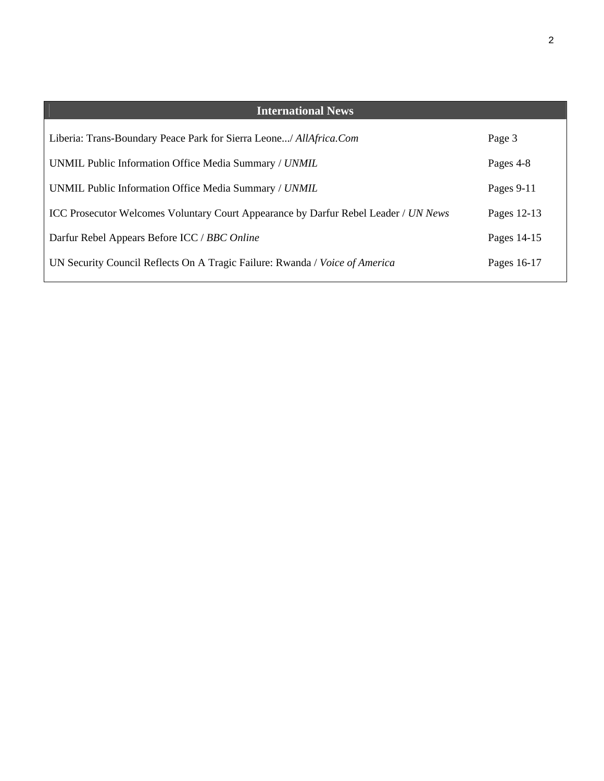| <b>International News</b>                                                           |             |
|-------------------------------------------------------------------------------------|-------------|
| Liberia: Trans-Boundary Peace Park for Sierra Leone/ AllAfrica.Com                  | Page 3      |
| UNMIL Public Information Office Media Summary / UNMIL                               | Pages 4-8   |
| UNMIL Public Information Office Media Summary / UNMIL                               | Pages 9-11  |
| ICC Prosecutor Welcomes Voluntary Court Appearance by Darfur Rebel Leader / UN News | Pages 12-13 |
| Darfur Rebel Appears Before ICC / BBC Online                                        | Pages 14-15 |
| UN Security Council Reflects On A Tragic Failure: Rwanda / Voice of America         | Pages 16-17 |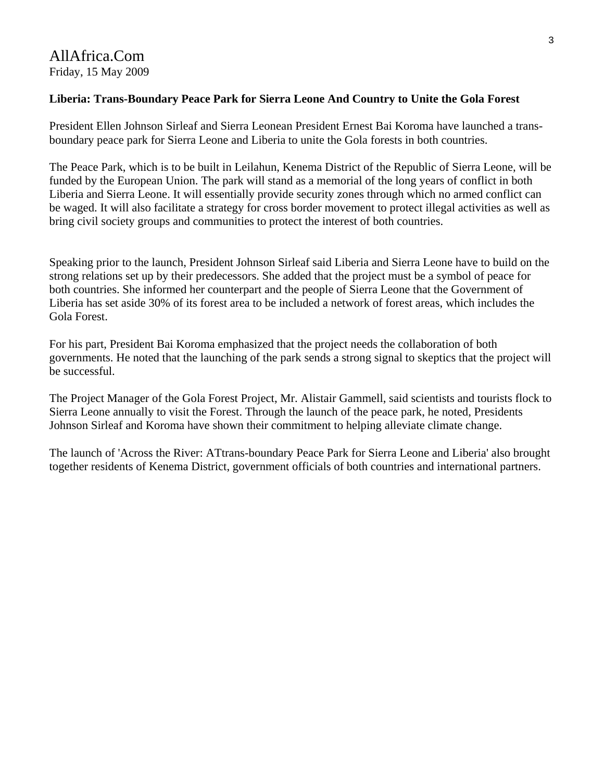### **Liberia: Trans-Boundary Peace Park for Sierra Leone And Country to Unite the Gola Forest**

President Ellen Johnson Sirleaf and Sierra Leonean President Ernest Bai Koroma have launched a transboundary peace park for Sierra Leone and Liberia to unite the Gola forests in both countries.

The Peace Park, which is to be built in Leilahun, Kenema District of the Republic of Sierra Leone, will be funded by the European Union. The park will stand as a memorial of the long years of conflict in both Liberia and Sierra Leone. It will essentially provide security zones through which no armed conflict can be waged. It will also facilitate a strategy for cross border movement to protect illegal activities as well as bring civil society groups and communities to protect the interest of both countries.

Speaking prior to the launch, President Johnson Sirleaf said Liberia and Sierra Leone have to build on the strong relations set up by their predecessors. She added that the project must be a symbol of peace for both countries. She informed her counterpart and the people of Sierra Leone that the Government of Liberia has set aside 30% of its forest area to be included a network of forest areas, which includes the Gola Forest.

For his part, President Bai Koroma emphasized that the project needs the collaboration of both governments. He noted that the launching of the park sends a strong signal to skeptics that the project will be successful.

The Project Manager of the Gola Forest Project, Mr. Alistair Gammell, said scientists and tourists flock to Sierra Leone annually to visit the Forest. Through the launch of the peace park, he noted, Presidents Johnson Sirleaf and Koroma have shown their commitment to helping alleviate climate change.

The launch of 'Across the River: ATtrans-boundary Peace Park for Sierra Leone and Liberia' also brought together residents of Kenema District, government officials of both countries and international partners.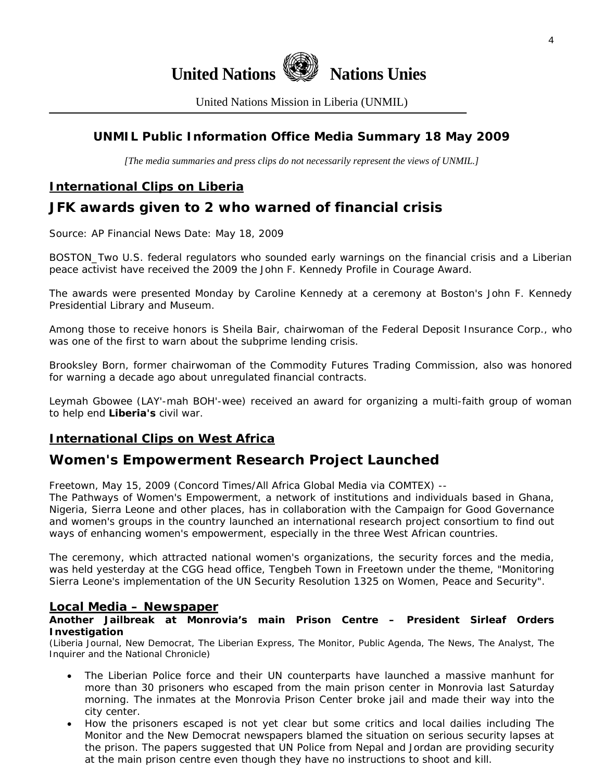

United Nations Mission in Liberia (UNMIL)

# **UNMIL Public Information Office Media Summary 18 May 2009**

*[The media summaries and press clips do not necessarily represent the views of UNMIL.]* 

# **International Clips on Liberia**

# **JFK awards given to 2 who warned of financial crisis**

Source: AP Financial News Date: May 18, 2009

BOSTON\_Two U.S. federal regulators who sounded early warnings on the financial crisis and a Liberian peace activist have received the 2009 the John F. Kennedy Profile in Courage Award.

The awards were presented Monday by Caroline Kennedy at a ceremony at Boston's John F. Kennedy Presidential Library and Museum.

Among those to receive honors is Sheila Bair, chairwoman of the Federal Deposit Insurance Corp., who was one of the first to warn about the subprime lending crisis.

Brooksley Born, former chairwoman of the Commodity Futures Trading Commission, also was honored for warning a decade ago about unregulated financial contracts.

Leymah Gbowee (LAY'-mah BOH'-wee) received an award for organizing a multi-faith group of woman to help end **Liberia's** civil war.

# **International Clips on West Africa**

# **Women's Empowerment Research Project Launched**

Freetown, May 15, 2009 (Concord Times/All Africa Global Media via COMTEX) --

The Pathways of Women's Empowerment, a network of institutions and individuals based in Ghana, Nigeria, Sierra Leone and other places, has in collaboration with the Campaign for Good Governance and women's groups in the country launched an international research project consortium to find out ways of enhancing women's empowerment, especially in the three West African countries.

The ceremony, which attracted national women's organizations, the security forces and the media, was held yesterday at the CGG head office, Tengbeh Town in Freetown under the theme, "Monitoring Sierra Leone's implementation of the UN Security Resolution 1325 on Women, Peace and Security".

### **Local Media – Newspaper**

#### **Another Jailbreak at Monrovia's main Prison Centre – President Sirleaf Orders Investigation**

(Liberia Journal, New Democrat, The Liberian Express, The Monitor, Public Agenda, The News, The Analyst, The Inquirer and the National Chronicle)

- The Liberian Police force and their UN counterparts have launched a massive manhunt for more than 30 prisoners who escaped from the main prison center in Monrovia last Saturday morning. The inmates at the Monrovia Prison Center broke jail and made their way into the city center.
- How the prisoners escaped is not yet clear but some critics and local dailies including The Monitor and the New Democrat newspapers blamed the situation on serious security lapses at the prison. The papers suggested that UN Police from Nepal and Jordan are providing security at the main prison centre even though they have no instructions to shoot and kill.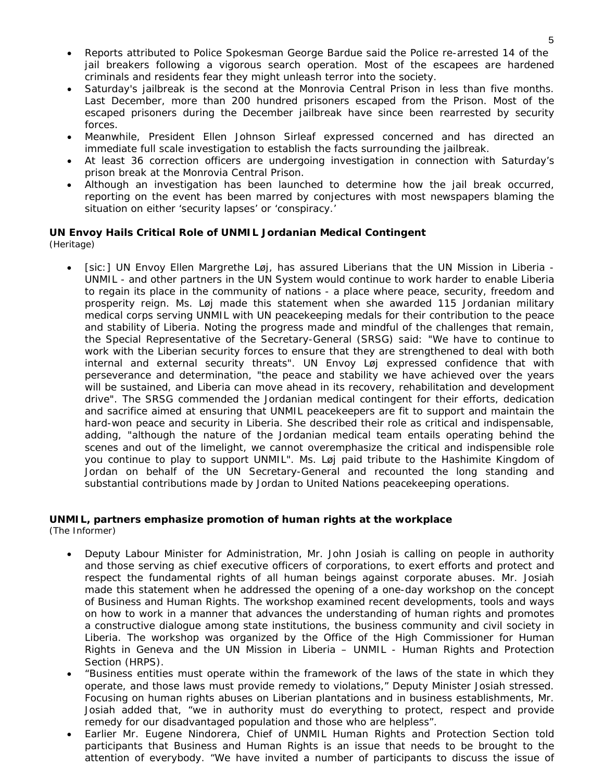- Reports attributed to Police Spokesman George Bardue said the Police re-arrested 14 of the jail breakers following a vigorous search operation. Most of the escapees are hardened criminals and residents fear they might unleash terror into the society.
- Saturday's jailbreak is the second at the Monrovia Central Prison in less than five months. Last December, more than 200 hundred prisoners escaped from the Prison. Most of the escaped prisoners during the December jailbreak have since been rearrested by security forces.
- Meanwhile, President Ellen Johnson Sirleaf expressed concerned and has directed an immediate full scale investigation to establish the facts surrounding the jailbreak.
- At least 36 correction officers are undergoing investigation in connection with Saturday's prison break at the Monrovia Central Prison.
- Although an investigation has been launched to determine how the jail break occurred, reporting on the event has been marred by conjectures with most newspapers blaming the situation on either 'security lapses' or 'conspiracy.'

#### **UN Envoy Hails Critical Role of UNMIL Jordanian Medical Contingent**  (Heritage)

• [sic:] UN Envoy Ellen Margrethe Løj, has assured Liberians that the UN Mission in Liberia - UNMIL - and other partners in the UN System would continue to work harder to enable Liberia to regain its place in the community of nations - a place where peace, security, freedom and prosperity reign. Ms. Løj made this statement when she awarded 115 Jordanian military medical corps serving UNMIL with UN peacekeeping medals for their contribution to the peace and stability of Liberia. Noting the progress made and mindful of the challenges that remain, the Special Representative of the Secretary-General (SRSG) said: "We have to continue to work with the Liberian security forces to ensure that they are strengthened to deal with both internal and external security threats". UN Envoy Løj expressed confidence that with perseverance and determination, "the peace and stability we have achieved over the years will be sustained, and Liberia can move ahead in its recovery, rehabilitation and development drive". The SRSG commended the Jordanian medical contingent for their efforts, dedication and sacrifice aimed at ensuring that UNMIL peacekeepers are fit to support and maintain the hard-won peace and security in Liberia. She described their role as critical and indispensable, adding, "although the nature of the Jordanian medical team entails operating behind the scenes and out of the limelight, we cannot overemphasize the critical and indispensible role you continue to play to support UNMIL". Ms. Løj paid tribute to the Hashimite Kingdom of Jordan on behalf of the UN Secretary-General and recounted the long standing and substantial contributions made by Jordan to United Nations peacekeeping operations.

#### **UNMIL, partners emphasize promotion of human rights at the workplace**  (The Informer)

- Deputy Labour Minister for Administration, Mr. John Josiah is calling on people in authority and those serving as chief executive officers of corporations, to exert efforts and protect and respect the fundamental rights of all human beings against corporate abuses. Mr. Josiah made this statement when he addressed the opening of a one-day workshop on the concept of Business and Human Rights. The workshop examined recent developments, tools and ways on how to work in a manner that advances the understanding of human rights and promotes a constructive dialogue among state institutions, the business community and civil society in Liberia. The workshop was organized by the Office of the High Commissioner for Human Rights in Geneva and the UN Mission in Liberia – UNMIL - Human Rights and Protection Section (HRPS).
	- "Business entities must operate within the framework of the laws of the state in which they operate, and those laws must provide remedy to violations," Deputy Minister Josiah stressed. Focusing on human rights abuses on Liberian plantations and in business establishments, Mr. Josiah added that, "we in authority must do everything to protect, respect and provide remedy for our disadvantaged population and those who are helpless".
	- Earlier Mr. Eugene Nindorera, Chief of UNMIL Human Rights and Protection Section told participants that Business and Human Rights is an issue that needs to be brought to the attention of everybody. "We have invited a number of participants to discuss the issue of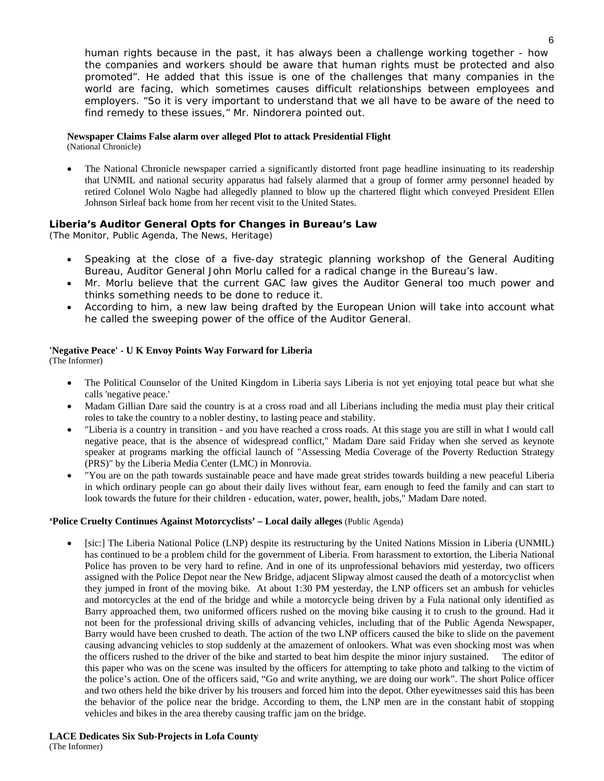human rights because in the past, it has always been a challenge working together - how the companies and workers should be aware that human rights must be protected and also promoted". He added that this issue is one of the challenges that many companies in the world are facing, which sometimes causes difficult relationships between employees and employers. "So it is very important to understand that we all have to be aware of the need to find remedy to these issues," Mr. Nindorera pointed out.

#### **Newspaper Claims False alarm over alleged Plot to attack Presidential Flight**

(National Chronicle)

• The National Chronicle newspaper carried a significantly distorted front page headline insinuating to its readership that UNMIL and national security apparatus had falsely alarmed that a group of former army personnel headed by retired Colonel Wolo Nagbe had allegedly planned to blow up the chartered flight which conveyed President Ellen Johnson Sirleaf back home from her recent visit to the United States.

#### **Liberia's Auditor General Opts for Changes in Bureau's Law**

(The Monitor, Public Agenda, The News, Heritage)

- Speaking at the close of a five-day strategic planning workshop of the General Auditing Bureau, Auditor General John Morlu called for a radical change in the Bureau's law.
- Mr. Morlu believe that the current GAC law gives the Auditor General too much power and thinks something needs to be done to reduce it.
- According to him, a new law being drafted by the European Union will take into account what he called the sweeping power of the office of the Auditor General.

#### **'Negative Peace' - U K Envoy Points Way Forward for Liberia**

(The Informer)

- The Political Counselor of the United Kingdom in Liberia says Liberia is not yet enjoying total peace but what she calls 'negative peace.'
- Madam Gillian Dare said the country is at a cross road and all Liberians including the media must play their critical roles to take the country to a nobler destiny, to lasting peace and stability.
- "Liberia is a country in transition and you have reached a cross roads. At this stage you are still in what I would call negative peace, that is the absence of widespread conflict," Madam Dare said Friday when she served as keynote speaker at programs marking the official launch of "Assessing Media Coverage of the Poverty Reduction Strategy (PRS)" by the Liberia Media Center (LMC) in Monrovia.
- "You are on the path towards sustainable peace and have made great strides towards building a new peaceful Liberia in which ordinary people can go about their daily lives without fear, earn enough to feed the family and can start to look towards the future for their children - education, water, power, health, jobs," Madam Dare noted.

#### **'Police Cruelty Continues Against Motorcyclists' – Local daily alleges** (Public Agenda)

• [sic:] The Liberia National Police (LNP) despite its restructuring by the United Nations Mission in Liberia (UNMIL) has continued to be a problem child for the government of Liberia. From harassment to extortion, the Liberia National Police has proven to be very hard to refine. And in one of its unprofessional behaviors mid yesterday, two officers assigned with the Police Depot near the New Bridge, adjacent Slipway almost caused the death of a motorcyclist when they jumped in front of the moving bike. At about 1:30 PM yesterday, the LNP officers set an ambush for vehicles and motorcycles at the end of the bridge and while a motorcycle being driven by a Fula national only identified as Barry approached them, two uniformed officers rushed on the moving bike causing it to crush to the ground. Had it not been for the professional driving skills of advancing vehicles, including that of the Public Agenda Newspaper, Barry would have been crushed to death. The action of the two LNP officers caused the bike to slide on the pavement causing advancing vehicles to stop suddenly at the amazement of onlookers. What was even shocking most was when the officers rushed to the driver of the bike and started to beat him despite the minor injury sustained. The editor of this paper who was on the scene was insulted by the officers for attempting to take photo and talking to the victim of the police's action. One of the officers said, "Go and write anything, we are doing our work". The short Police officer and two others held the bike driver by his trousers and forced him into the depot. Other eyewitnesses said this has been the behavior of the police near the bridge. According to them, the LNP men are in the constant habit of stopping vehicles and bikes in the area thereby causing traffic jam on the bridge.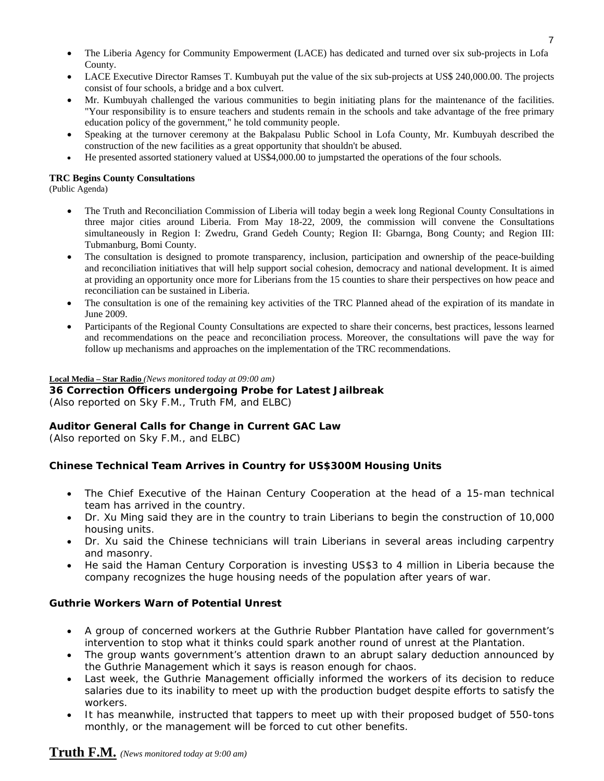- The Liberia Agency for Community Empowerment (LACE) has dedicated and turned over six sub-projects in Lofa County.
- LACE Executive Director Ramses T. Kumbuyah put the value of the six sub-projects at US\$ 240,000.00. The projects consist of four schools, a bridge and a box culvert.
- Mr. Kumbuyah challenged the various communities to begin initiating plans for the maintenance of the facilities. "Your responsibility is to ensure teachers and students remain in the schools and take advantage of the free primary education policy of the government," he told community people.
- Speaking at the turnover ceremony at the Bakpalasu Public School in Lofa County, Mr. Kumbuyah described the construction of the new facilities as a great opportunity that shouldn't be abused.
- He presented assorted stationery valued at US\$4,000.00 to jumpstarted the operations of the four schools.

#### **TRC Begins County Consultations**

(Public Agenda)

- The Truth and Reconciliation Commission of Liberia will today begin a week long Regional County Consultations in three major cities around Liberia. From May 18-22, 2009, the commission will convene the Consultations simultaneously in Region I: Zwedru, Grand Gedeh County; Region II: Gbarnga, Bong County; and Region III: Tubmanburg, Bomi County.
- The consultation is designed to promote transparency, inclusion, participation and ownership of the peace-building and reconciliation initiatives that will help support social cohesion, democracy and national development. It is aimed at providing an opportunity once more for Liberians from the 15 counties to share their perspectives on how peace and reconciliation can be sustained in Liberia.
- The consultation is one of the remaining key activities of the TRC Planned ahead of the expiration of its mandate in June 2009.
- Participants of the Regional County Consultations are expected to share their concerns, best practices, lessons learned and recommendations on the peace and reconciliation process. Moreover, the consultations will pave the way for follow up mechanisms and approaches on the implementation of the TRC recommendations.

#### **Local Media – Star Radio** *(News monitored today at 09:00 am)*

**36 Correction Officers undergoing Probe for Latest Jailbreak**  (*Also reported on Sky F.M., Truth FM, and ELBC*)

### **Auditor General Calls for Change in Current GAC Law**

(*Also reported on Sky F.M., and ELBC*)

### **Chinese Technical Team Arrives in Country for US\$300M Housing Units**

- The Chief Executive of the Hainan Century Cooperation at the head of a 15-man technical team has arrived in the country.
- Dr. Xu Ming said they are in the country to train Liberians to begin the construction of 10,000 housing units.
- Dr. Xu said the Chinese technicians will train Liberians in several areas including carpentry and masonry.
- He said the Haman Century Corporation is investing US\$3 to 4 million in Liberia because the company recognizes the huge housing needs of the population after years of war.

#### **Guthrie Workers Warn of Potential Unrest**

- A group of concerned workers at the Guthrie Rubber Plantation have called for government's intervention to stop what it thinks could spark another round of unrest at the Plantation.
- The group wants government's attention drawn to an abrupt salary deduction announced by the Guthrie Management which it says is reason enough for chaos.
- Last week, the Guthrie Management officially informed the workers of its decision to reduce salaries due to its inability to meet up with the production budget despite efforts to satisfy the workers.
- It has meanwhile, instructed that tappers to meet up with their proposed budget of 550-tons monthly, or the management will be forced to cut other benefits.

# **Truth F.M.** *(News monitored today at 9:00 am)*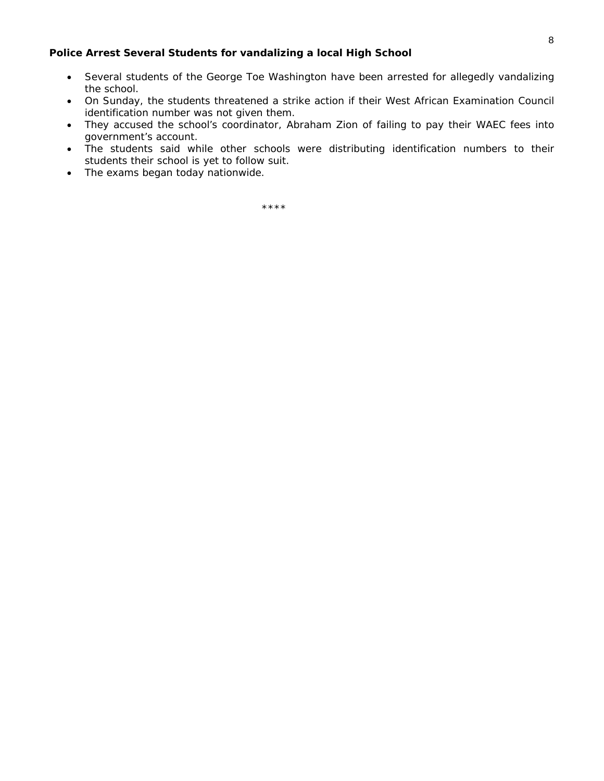#### **Police Arrest Several Students for vandalizing a local High School**

- Several students of the George Toe Washington have been arrested for allegedly vandalizing the school.
- On Sunday, the students threatened a strike action if their West African Examination Council identification number was not given them.
- They accused the school's coordinator, Abraham Zion of failing to pay their WAEC fees into government's account.
- The students said while other schools were distributing identification numbers to their students their school is yet to follow suit.
- The exams began today nationwide.

\*\*\*\*\*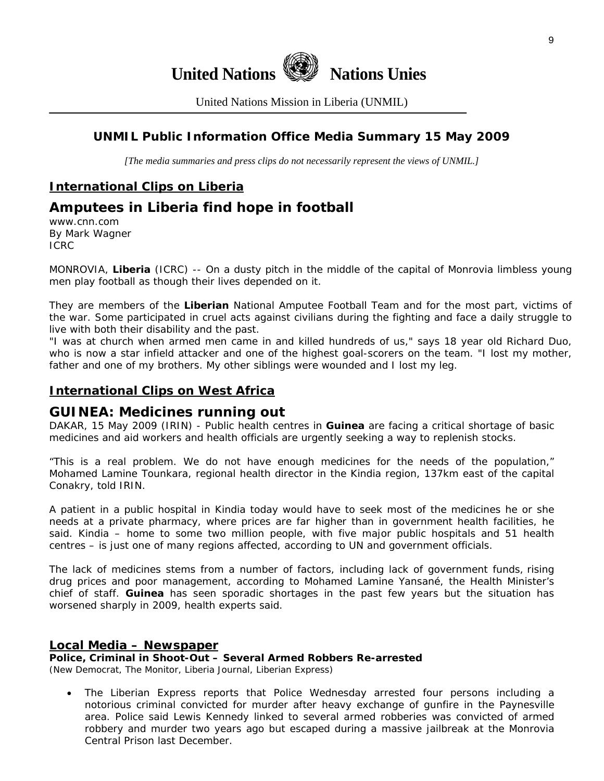

United Nations Mission in Liberia (UNMIL)

# **UNMIL Public Information Office Media Summary 15 May 2009**

*[The media summaries and press clips do not necessarily represent the views of UNMIL.]* 

# **International Clips on Liberia**

# **Amputees in Liberia find hope in football**

www.cnn.com By Mark Wagner ICRC

MONROVIA, **Liberia** (ICRC) -- On a dusty pitch in the middle of the capital of Monrovia limbless young men play football as though their lives depended on it.

They are members of the **Liberian** National Amputee Football Team and for the most part, victims of the war. Some participated in cruel acts against civilians during the fighting and face a daily struggle to live with both their disability and the past.

"I was at church when armed men came in and killed hundreds of us," says 18 year old Richard Duo, who is now a star infield attacker and one of the highest goal-scorers on the team. "I lost my mother, father and one of my brothers. My other siblings were wounded and I lost my leg.

### **International Clips on West Africa**

### **GUINEA: Medicines running out**

DAKAR, 15 May 2009 (IRIN) - Public health centres in **Guinea** are facing a critical shortage of basic medicines and aid workers and health officials are urgently seeking a way to replenish stocks.

"This is a real problem. We do not have enough medicines for the needs of the population," Mohamed Lamine Tounkara, regional health director in the Kindia region, 137km east of the capital Conakry, told IRIN.

A patient in a public hospital in Kindia today would have to seek most of the medicines he or she needs at a private pharmacy, where prices are far higher than in government health facilities, he said. Kindia – home to some two million people, with five major public hospitals and 51 health centres – is just one of many regions affected, according to UN and government officials.

The lack of medicines stems from a number of factors, including lack of government funds, rising drug prices and poor management, according to Mohamed Lamine Yansané, the Health Minister's chief of staff. **Guinea** has seen sporadic shortages in the past few years but the situation has worsened sharply in 2009, health experts said.

#### **Local Media – Newspaper**

**Police, Criminal in Shoot-Out – Several Armed Robbers Re-arrested** 

(New Democrat, The Monitor, Liberia Journal, Liberian Express)

• The Liberian Express reports that Police Wednesday arrested four persons including a notorious criminal convicted for murder after heavy exchange of gunfire in the Paynesville area. Police said Lewis Kennedy linked to several armed robberies was convicted of armed robbery and murder two years ago but escaped during a massive jailbreak at the Monrovia Central Prison last December.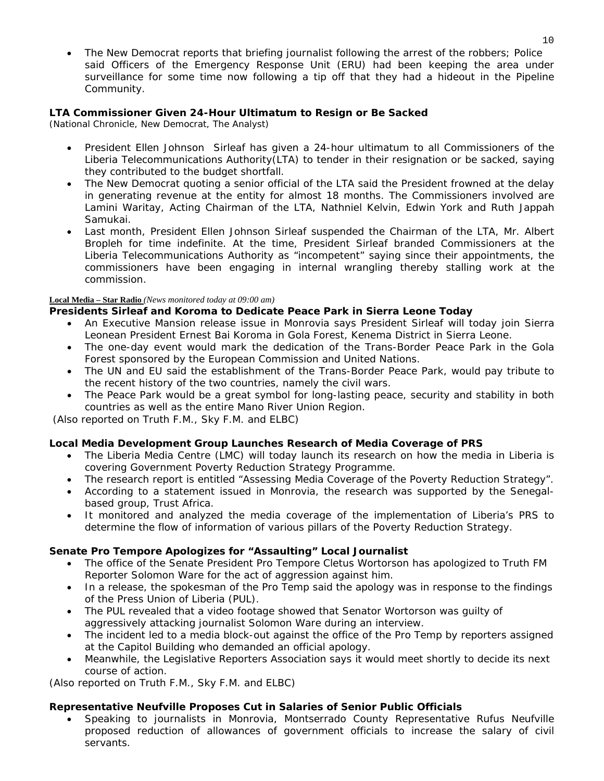• The New Democrat reports that briefing journalist following the arrest of the robbers; Police said Officers of the Emergency Response Unit (ERU) had been keeping the area under surveillance for some time now following a tip off that they had a hideout in the Pipeline Community.

### **LTA Commissioner Given 24-Hour Ultimatum to Resign or Be Sacked**

(National Chronicle, New Democrat, The Analyst)

- President Ellen Johnson Sirleaf has given a 24-hour ultimatum to all Commissioners of the Liberia Telecommunications Authority(LTA) to tender in their resignation or be sacked, saying they contributed to the budget shortfall.
- The New Democrat quoting a senior official of the LTA said the President frowned at the delay in generating revenue at the entity for almost 18 months. The Commissioners involved are Lamini Waritay, Acting Chairman of the LTA, Nathniel Kelvin, Edwin York and Ruth Jappah Samukai.
- Last month, President Ellen Johnson Sirleaf suspended the Chairman of the LTA, Mr. Albert Bropleh for time indefinite. At the time, President Sirleaf branded Commissioners at the Liberia Telecommunications Authority as "incompetent" saying since their appointments, the commissioners have been engaging in internal wrangling thereby stalling work at the commission.

#### **Local Media – Star Radio** *(News monitored today at 09:00 am)*

### **Presidents Sirleaf and Koroma to Dedicate Peace Park in Sierra Leone Today**

- An Executive Mansion release issue in Monrovia says President Sirleaf will today join Sierra Leonean President Ernest Bai Koroma in Gola Forest, Kenema District in Sierra Leone.
- The one-day event would mark the dedication of the Trans-Border Peace Park in the Gola Forest sponsored by the European Commission and United Nations.
- The UN and EU said the establishment of the Trans-Border Peace Park, would pay tribute to the recent history of the two countries, namely the civil wars.
- The Peace Park would be a great symbol for long-lasting peace, security and stability in both countries as well as the entire Mano River Union Region.

 *(Also reported on Truth F.M., Sky F.M. and ELBC*)

#### **Local Media Development Group Launches Research of Media Coverage of PRS**

- The Liberia Media Centre (LMC) will today launch its research on how the media in Liberia is covering Government Poverty Reduction Strategy Programme.
- The research report is entitled "Assessing Media Coverage of the Poverty Reduction Strategy".
- According to a statement issued in Monrovia, the research was supported by the Senegalbased group, Trust Africa.
- It monitored and analyzed the media coverage of the implementation of Liberia's PRS to determine the flow of information of various pillars of the Poverty Reduction Strategy.

#### **Senate Pro Tempore Apologizes for "Assaulting" Local Journalist**

- The office of the Senate President Pro Tempore Cletus Wortorson has apologized to Truth FM Reporter Solomon Ware for the act of aggression against him.
- In a release, the spokesman of the Pro Temp said the apology was in response to the findings of the Press Union of Liberia (PUL).
- The PUL revealed that a video footage showed that Senator Wortorson was guilty of aggressively attacking journalist Solomon Ware during an interview.
- The incident led to a media block-out against the office of the Pro Temp by reporters assigned at the Capitol Building who demanded an official apology.
- Meanwhile, the Legislative Reporters Association says it would meet shortly to decide its next course of action.

*(Also reported on Truth F.M., Sky F.M. and ELBC*)

#### **Representative Neufville Proposes Cut in Salaries of Senior Public Officials**

• Speaking to journalists in Monrovia, Montserrado County Representative Rufus Neufville proposed reduction of allowances of government officials to increase the salary of civil servants.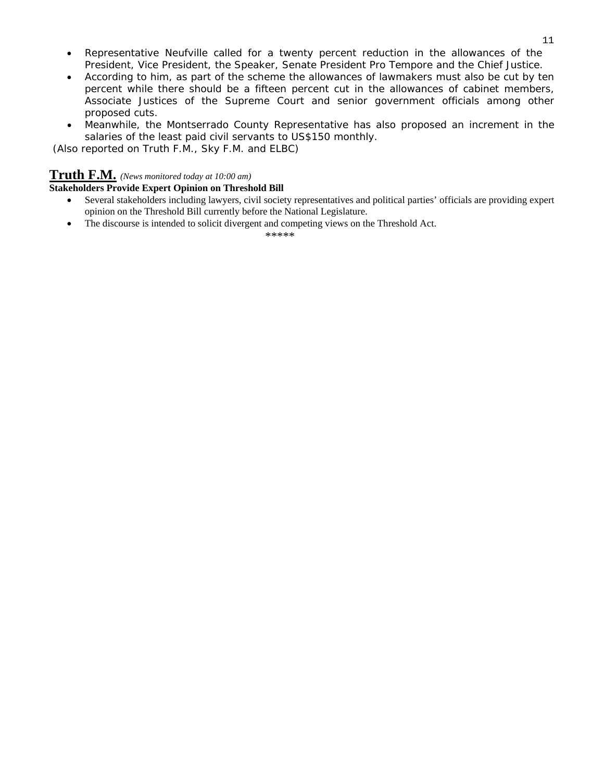- Representative Neufville called for a twenty percent reduction in the allowances of the President, Vice President, the Speaker, Senate President Pro Tempore and the Chief Justice.
- According to him, as part of the scheme the allowances of lawmakers must also be cut by ten percent while there should be a fifteen percent cut in the allowances of cabinet members, Associate Justices of the Supreme Court and senior government officials among other proposed cuts.
- Meanwhile, the Montserrado County Representative has also proposed an increment in the salaries of the least paid civil servants to US\$150 monthly.

 *(Also reported on Truth F.M., Sky F.M. and ELBC*)

# **Truth F.M.** *(News monitored today at 10:00 am)*

#### **Stakeholders Provide Expert Opinion on Threshold Bill**

- Several stakeholders including lawyers, civil society representatives and political parties' officials are providing expert opinion on the Threshold Bill currently before the National Legislature.
- The discourse is intended to solicit divergent and competing views on the Threshold Act.

\*\*\*\*\*\*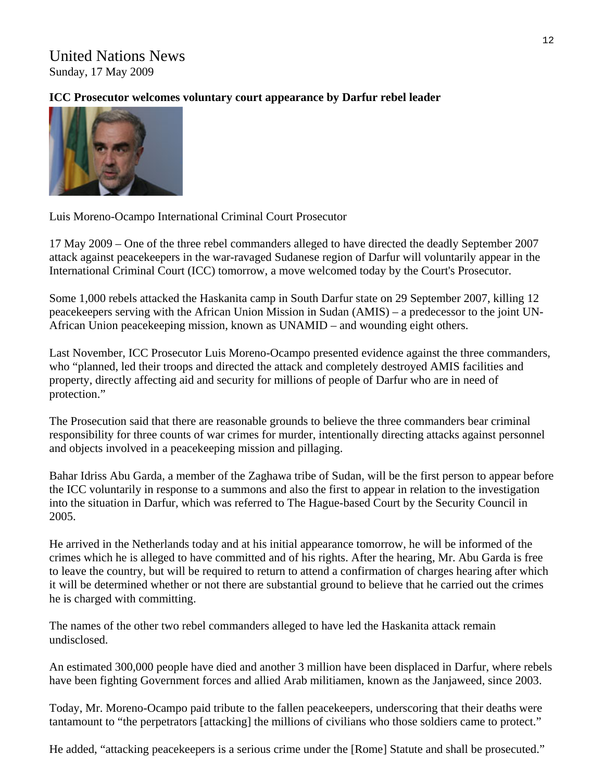# United Nations News Sunday, 17 May 2009

# **ICC Prosecutor welcomes voluntary court appearance by Darfur rebel leader**



Luis Moreno-Ocampo International Criminal Court Prosecutor

17 May 2009 – One of the three rebel commanders alleged to have directed the deadly September 2007 attack against peacekeepers in the war-ravaged Sudanese region of Darfur will voluntarily appear in the International Criminal Court (ICC) tomorrow, a move welcomed today by the Court's Prosecutor.

Some 1,000 rebels attacked the Haskanita camp in South Darfur state on 29 September 2007, killing 12 peacekeepers serving with the African Union Mission in Sudan (AMIS) – a predecessor to the joint UN-African Union peacekeeping mission, known as UNAMID – and wounding eight others.

Last November, ICC Prosecutor Luis Moreno-Ocampo presented evidence against the three commanders, who "planned, led their troops and directed the attack and completely destroyed AMIS facilities and property, directly affecting aid and security for millions of people of Darfur who are in need of protection."

The Prosecution said that there are reasonable grounds to believe the three commanders bear criminal responsibility for three counts of war crimes for murder, intentionally directing attacks against personnel and objects involved in a peacekeeping mission and pillaging.

Bahar Idriss Abu Garda, a member of the Zaghawa tribe of Sudan, will be the first person to appear before the ICC voluntarily in response to a summons and also the first to appear in relation to the investigation into the situation in Darfur, which was referred to The Hague-based Court by the Security Council in 2005.

He arrived in the Netherlands today and at his initial appearance tomorrow, he will be informed of the crimes which he is alleged to have committed and of his rights. After the hearing, Mr. Abu Garda is free to leave the country, but will be required to return to attend a confirmation of charges hearing after which it will be determined whether or not there are substantial ground to believe that he carried out the crimes he is charged with committing.

The names of the other two rebel commanders alleged to have led the Haskanita attack remain undisclosed.

An estimated 300,000 people have died and another 3 million have been displaced in Darfur, where rebels have been fighting Government forces and allied Arab militiamen, known as the Janjaweed, since 2003.

Today, Mr. Moreno-Ocampo paid tribute to the fallen peacekeepers, underscoring that their deaths were tantamount to "the perpetrators [attacking] the millions of civilians who those soldiers came to protect."

He added, "attacking peacekeepers is a serious crime under the [Rome] Statute and shall be prosecuted."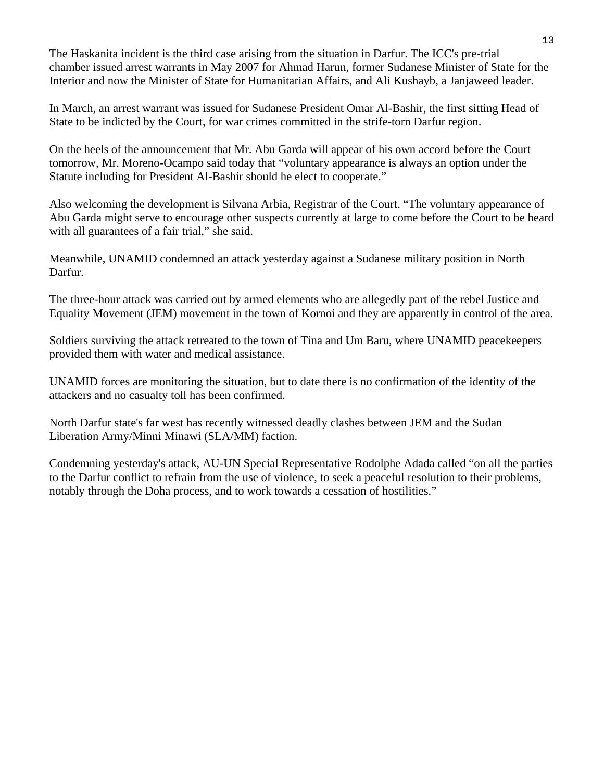The Haskanita incident is the third case arising from the situation in Darfur. The ICC's pre-trial chamber issued arrest warrants in May 2007 for Ahmad Harun, former Sudanese Minister of State for the Interior and now the Minister of State for Humanitarian Affairs, and Ali Kushayb, a Janjaweed leader.

In March, an arrest warrant was issued for Sudanese President Omar Al-Bashir, the first sitting Head of State to be indicted by the Court, for war crimes committed in the strife-torn Darfur region.

On the heels of the announcement that Mr. Abu Garda will appear of his own accord before the Court tomorrow, Mr. Moreno-Ocampo said today that "voluntary appearance is always an option under the Statute including for President Al-Bashir should he elect to cooperate."

Also welcoming the development is Silvana Arbia, Registrar of the Court. "The voluntary appearance of Abu Garda might serve to encourage other suspects currently at large to come before the Court to be heard with all guarantees of a fair trial," she said.

Meanwhile, UNAMID condemned an attack yesterday against a Sudanese military position in North Darfur.

The three-hour attack was carried out by armed elements who are allegedly part of the rebel Justice and Equality Movement (JEM) movement in the town of Kornoi and they are apparently in control of the area.

Soldiers surviving the attack retreated to the town of Tina and Um Baru, where UNAMID peacekeepers provided them with water and medical assistance.

UNAMID forces are monitoring the situation, but to date there is no confirmation of the identity of the attackers and no casualty toll has been confirmed.

North Darfur state's far west has recently witnessed deadly clashes between JEM and the Sudan Liberation Army/Minni Minawi (SLA/MM) faction.

Condemning yesterday's attack, AU-UN Special Representative Rodolphe Adada called "on all the parties to the Darfur conflict to refrain from the use of violence, to seek a peaceful resolution to their problems, notably through the Doha process, and to work towards a cessation of hostilities."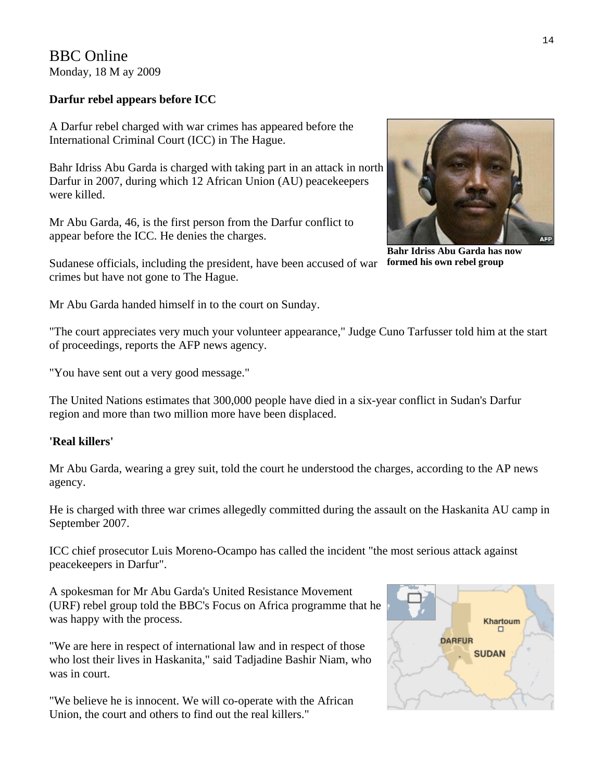BBC Online Monday, 18 M ay 2009

# **Darfur rebel appears before ICC**

A Darfur rebel charged with war crimes has appeared before the International Criminal Court (ICC) in The Hague.

Bahr Idriss Abu Garda is charged with taking part in an attack in north Darfur in 2007, during which 12 African Union (AU) peacekeepers were killed.

Mr Abu Garda, 46, is the first person from the Darfur conflict to appear before the ICC. He denies the charges.

Sudanese officials, including the president, have been accused of war formed his own rebel group crimes but have not gone to The Hague.

Mr Abu Garda handed himself in to the court on Sunday.

"The court appreciates very much your volunteer appearance," Judge Cuno Tarfusser told him at the start of proceedings, reports the AFP news agency.

"You have sent out a very good message."

The United Nations estimates that 300,000 people have died in a six-year conflict in Sudan's Darfur region and more than two million more have been displaced.

### **'Real killers'**

Mr Abu Garda, wearing a grey suit, told the court he understood the charges, according to the AP news agency.

He is charged with three war crimes allegedly committed during the assault on the Haskanita AU camp in September 2007.

ICC chief prosecutor Luis Moreno-Ocampo has called the incident "the most serious attack against peacekeepers in Darfur".

A spokesman for Mr Abu Garda's United Resistance Movement (URF) rebel group told the BBC's Focus on Africa programme that he was happy with the process.

"We are here in respect of international law and in respect of those who lost their lives in Haskanita," said Tadjadine Bashir Niam, who was in court.

"We believe he is innocent. We will co-operate with the African Union, the court and others to find out the real killers."



**AFR** 

**Bahr Idriss Abu Garda has now**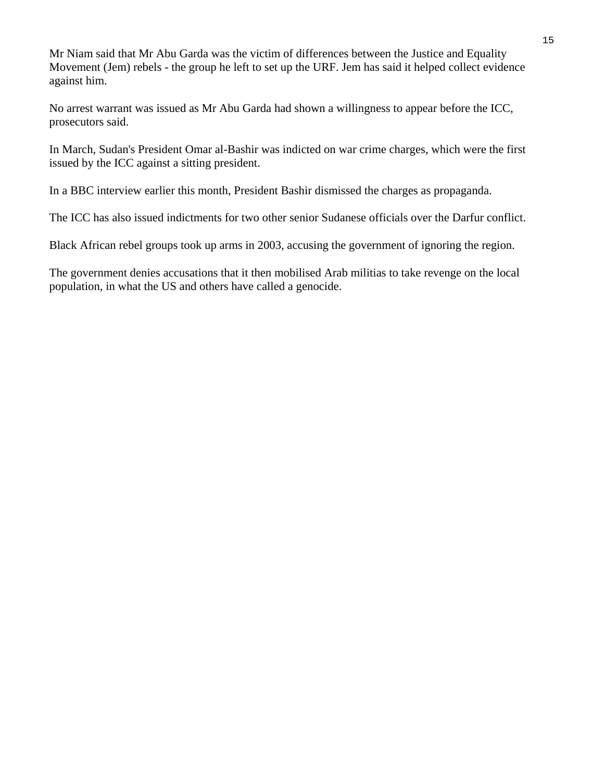Mr Niam said that Mr Abu Garda was the victim of differences between the Justice and Equality Movement (Jem) rebels - the group he left to set up the URF. Jem has said it helped collect evidence against him.

No arrest warrant was issued as Mr Abu Garda had shown a willingness to appear before the ICC, prosecutors said.

In March, Sudan's President Omar al-Bashir was indicted on war crime charges, which were the first issued by the ICC against a sitting president.

In a BBC interview earlier this month, President Bashir dismissed the charges as propaganda.

The ICC has also issued indictments for two other senior Sudanese officials over the Darfur conflict.

Black African rebel groups took up arms in 2003, accusing the government of ignoring the region.

The government denies accusations that it then mobilised Arab militias to take revenge on the local population, in what the US and others have called a genocide.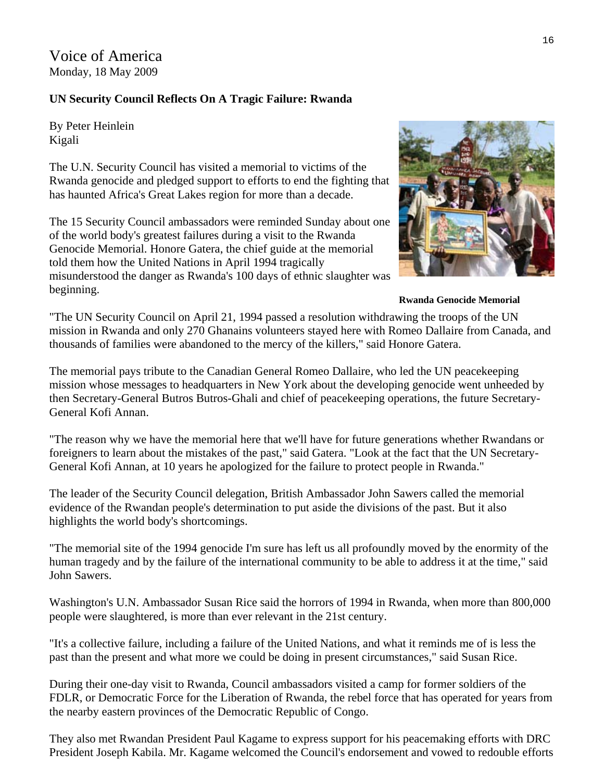Voice of America Monday, 18 May 2009

### **UN Security Council Reflects On A Tragic Failure: Rwanda**

By Peter Heinlein Kigali

The U.N. Security Council has visited a memorial to victims of the Rwanda genocide and pledged support to efforts to end the fighting that has haunted Africa's Great Lakes region for more than a decade.

The 15 Security Council ambassadors were reminded Sunday about one of the world body's greatest failures during a visit to the Rwanda Genocide Memorial. Honore Gatera, the chief guide at the memorial told them how the United Nations in April 1994 tragically misunderstood the danger as Rwanda's 100 days of ethnic slaughter was beginning.



**Rwanda Genocide Memorial** 

"The UN Security Council on April 21, 1994 passed a resolution withdrawing the troops of the UN mission in Rwanda and only 270 Ghanains volunteers stayed here with Romeo Dallaire from Canada, and thousands of families were abandoned to the mercy of the killers," said Honore Gatera.

The memorial pays tribute to the Canadian General Romeo Dallaire, who led the UN peacekeeping mission whose messages to headquarters in New York about the developing genocide went unheeded by then Secretary-General Butros Butros-Ghali and chief of peacekeeping operations, the future Secretary-General Kofi Annan.

"The reason why we have the memorial here that we'll have for future generations whether Rwandans or foreigners to learn about the mistakes of the past," said Gatera. "Look at the fact that the UN Secretary-General Kofi Annan, at 10 years he apologized for the failure to protect people in Rwanda."

The leader of the Security Council delegation, British Ambassador John Sawers called the memorial evidence of the Rwandan people's determination to put aside the divisions of the past. But it also highlights the world body's shortcomings.

"The memorial site of the 1994 genocide I'm sure has left us all profoundly moved by the enormity of the human tragedy and by the failure of the international community to be able to address it at the time," said John Sawers.

Washington's U.N. Ambassador Susan Rice said the horrors of 1994 in Rwanda, when more than 800,000 people were slaughtered, is more than ever relevant in the 21st century.

"It's a collective failure, including a failure of the United Nations, and what it reminds me of is less the past than the present and what more we could be doing in present circumstances," said Susan Rice.

During their one-day visit to Rwanda, Council ambassadors visited a camp for former soldiers of the FDLR, or Democratic Force for the Liberation of Rwanda, the rebel force that has operated for years from the nearby eastern provinces of the Democratic Republic of Congo.

They also met Rwandan President Paul Kagame to express support for his peacemaking efforts with DRC President Joseph Kabila. Mr. Kagame welcomed the Council's endorsement and vowed to redouble efforts